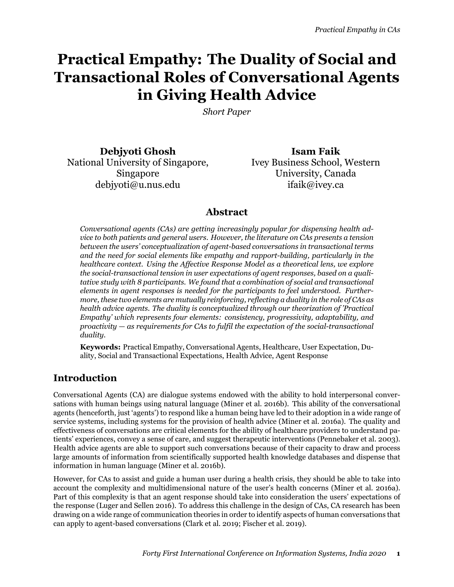# **Practical Empathy: The Duality of Social and Transactional Roles of Conversational Agents in Giving Health Advice**

*Short Paper*

**Debjyoti Ghosh Isam Faik** National University of Singapore, Singapore debjyoti@u.nus.edu ifaik@ivey.ca

Ivey Business School, Western University, Canada

## **Abstract**

*Conversational agents (CAs) are getting increasingly popular for dispensing health advice to both patients and general users. However, the literature on CAs presents a tension between the users' conceptualization of agent-based conversations in transactional terms and the need for social elements like empathy and rapport-building, particularly in the healthcare context. Using the Affective Response Model as a theoretical lens, we explore the social-transactional tension in user expectations of agent responses, based on a qualitative study with 8 participants. We found that a combination of social and transactional elements in agent responses is needed for the participants to feel understood. Furthermore, these two elements are mutually reinforcing, reflecting a duality in the role of CAs as health advice agents. The duality is conceptualized through our theorization of 'Practical Empathy' which represents four elements: consistency, progressivity, adaptability, and proactivity — as requirements for CAs to fulfil the expectation of the social-transactional duality.*

**Keywords:** Practical Empathy, Conversational Agents, Healthcare, User Expectation, Duality, Social and Transactional Expectations, Health Advice, Agent Response

# **Introduction**

Conversational Agents (CA) are dialogue systems endowed with the ability to hold interpersonal conversations with human beings using natural language (Miner et al. [2016b](#page-8-0)). This ability of the conversational agents (henceforth, just 'agents') to respond like a human being have led to their adoption in a wide range of service systems, including systems for the provision of health advice (Miner et al. [2016a](#page-8-1)). The quality and effectiveness of conversations are critical elements for the ability of healthcare providers to understand patients' experiences, convey a sense of care, and suggest therapeutic interventions (Pennebaker et al. [2003\)](#page-8-2). Health advice agents are able to support such conversations because of their capacity to draw and process large amounts of information from scientifically supported health knowledge databases and dispense that information in human language (Miner et al. [2016b\)](#page-8-0).

However, for CAs to assist and guide a human user during a health crisis, they should be able to take into account the complexity and multidimensional nature of the user's health concerns (Miner et al. [2016a\)](#page-8-1). Part of this complexity is that an agent response should take into consideration the users' expectations of the response (Luger and Sellen [2016\)](#page-8-3). To address this challenge in the design of CAs, CA research has been drawing on a wide range of communication theories in order to identify aspects of human conversations that can apply to agent-based conversations (Clark et al. [2019;](#page-8-4) Fischer et al. [2019](#page-8-5)).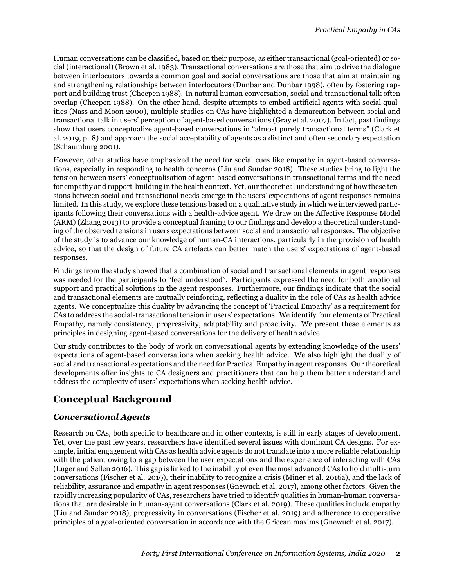Human conversations can be classified, based on their purpose, as either transactional (goal-oriented) or social (interactional) (Brown et al. [1983\)](#page-8-6). Transactional conversations are those that aim to drive the dialogue between interlocutors towards a common goal and social conversations are those that aim at maintaining and strengthening relationships between interlocutors (Dunbar and Dunbar [1998\)](#page-8-7), often by fostering rapport and building trust (Cheepen [1988](#page-8-8)). In natural human conversation, social and transactional talk often overlap (Cheepen [1988\)](#page-8-8). On the other hand, despite attempts to embed artificial agents with social qualities (Nass and Moon [2000\)](#page-8-9), multiple studies on CAs have highlighted a demarcation between social and transactional talk in users' perception of agent-based conversations (Gray et al. [2007\)](#page-8-10). In fact, past findings show that users conceptualize agent-based conversations in "almost purely transactional terms" (Clark et al. [2019,](#page-8-4) p. 8) and approach the social acceptability of agents as a distinct and often secondary expectation (Schaumburg [2001](#page-8-11)).

However, other studies have emphasized the need for social cues like empathy in agent-based conversations, especially in responding to health concerns (Liu and Sundar [2018](#page-8-12)). These studies bring to light the tension between users' conceptualisation of agent-based conversations in transactional terms and the need for empathy and rapport-building in the health context. Yet, our theoretical understanding of how these tensions between social and transactional needs emerge in the users' expectations of agent responses remains limited. In this study, we explore these tensions based on a qualitative study in which we interviewed participants following their conversations with a health-advice agent. We draw on the Affective Response Model (ARM) (Zhang [2013\)](#page-8-13) to provide a conceptual framing to our findings and develop a theoretical understanding of the observed tensions in users expectations between social and transactional responses. The objective of the study is to advance our knowledge of human-CA interactions, particularly in the provision of health advice, so that the design of future CA artefacts can better match the users' expectations of agent-based responses.

Findings from the study showed that a combination of social and transactional elements in agent responses was needed for the participants to "feel understood". Participants expressed the need for both emotional support and practical solutions in the agent responses. Furthermore, our findings indicate that the social and transactional elements are mutually reinforcing, reflecting a duality in the role of CAs as health advice agents. We conceptualize this duality by advancing the concept of 'Practical Empathy' as a requirement for CAs to address the social-transactional tension in users' expectations. We identify four elements of Practical Empathy, namely consistency, progressivity, adaptability and proactivity. We present these elements as principles in designing agent-based conversations for the delivery of health advice.

Our study contributes to the body of work on conversational agents by extending knowledge of the users' expectations of agent-based conversations when seeking health advice. We also highlight the duality of social and transactional expectations and the need for Practical Empathy in agent responses. Our theoretical developments offer insights to CA designers and practitioners that can help them better understand and address the complexity of users' expectations when seeking health advice.

# **Conceptual Background**

#### *Conversational Agents*

Research on CAs, both specific to healthcare and in other contexts, is still in early stages of development. Yet, over the past few years, researchers have identified several issues with dominant CA designs. For example, initial engagement with CAs as health advice agents do not translate into a more reliable relationship with the patient owing to a gap between the user expectations and the experience of interacting with CAs (Luger and Sellen [2016](#page-8-3)). This gap is linked to the inability of even the most advanced CAs to hold multi-turn conversations (Fischer et al. [2019](#page-8-5)), their inability to recognize a crisis (Miner et al. [2016a\)](#page-8-1), and the lack of reliability, assurance and empathy in agent responses (Gnewuch et al. [2017\)](#page-8-14), among other factors. Given the rapidly increasing popularity of CAs, researchers have tried to identify qualities in human-human conversations that are desirable in human-agent conversations (Clark et al. [2019\)](#page-8-4). These qualities include empathy (Liu and Sundar [2018](#page-8-12)), progressivity in conversations (Fischer et al. [2019\)](#page-8-5) and adherence to cooperative principles of a goal-oriented conversation in accordance with the Gricean maxims (Gnewuch et al. [2017\)](#page-8-14).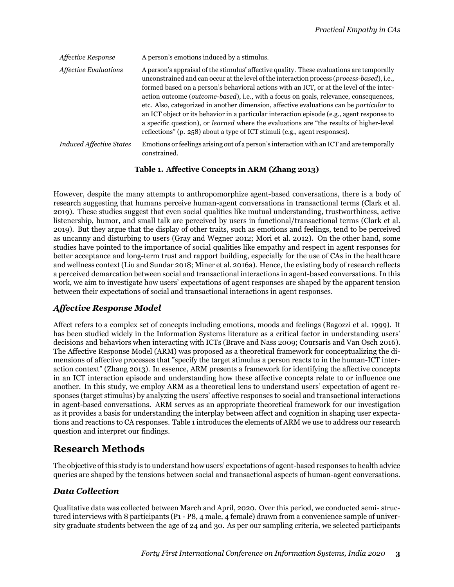<span id="page-2-0"></span>

| <i><b>Affective Response</b></i> | A person's emotions induced by a stimulus.                                                                                                                                                                                                                                                                                                                                                                                                                                                                                                                                                                                                                                                                                                                            |
|----------------------------------|-----------------------------------------------------------------------------------------------------------------------------------------------------------------------------------------------------------------------------------------------------------------------------------------------------------------------------------------------------------------------------------------------------------------------------------------------------------------------------------------------------------------------------------------------------------------------------------------------------------------------------------------------------------------------------------------------------------------------------------------------------------------------|
| <b>Affective Evaluations</b>     | A person's appraisal of the stimulus' affective quality. These evaluations are temporally<br>unconstrained and can occur at the level of the interaction process (process-based), i.e.,<br>formed based on a person's behavioral actions with an ICT, or at the level of the inter-<br>action outcome ( <i>outcome-based</i> ), i.e., with a focus on goals, relevance, consequences,<br>etc. Also, categorized in another dimension, affective evaluations can be <i>particular</i> to<br>an ICT object or its behavior in a particular interaction episode (e.g., agent response to<br>a specific question), or <i>learned</i> where the evaluations are "the results of higher-level<br>reflections" (p. 258) about a type of ICT stimuli (e.g., agent responses). |
| <b>Induced Affective States</b>  | Emotions or feelings arising out of a person's interaction with an ICT and are temporally<br>constrained.                                                                                                                                                                                                                                                                                                                                                                                                                                                                                                                                                                                                                                                             |

#### **Table 1. Affective Concepts in ARM (Zhang [2013\)](#page-8-13)**

However, despite the many attempts to anthropomorphize agent-based conversations, there is a body of research suggesting that humans perceive human-agent conversations in transactional terms (Clark et al. [2019\)](#page-8-4). These studies suggest that even social qualities like mutual understanding, trustworthiness, active listenership, humor, and small talk are perceived by users in functional/transactional terms (Clark et al. [2019\)](#page-8-4). But they argue that the display of other traits, such as emotions and feelings, tend to be perceived as uncanny and disturbing to users (Gray and Wegner [2012;](#page-8-15) Mori et al. [2012\)](#page-8-16). On the other hand, some studies have pointed to the importance of social qualities like empathy and respect in agent responses for better acceptance and long-term trust and rapport building, especially for the use of CAs in the healthcare and wellness context (Liu and Sundar [2018;](#page-8-12) Miner et al. [2016a\)](#page-8-1). Hence, the existing body of research reflects a perceived demarcation between social and transactional interactions in agent-based conversations. In this work, we aim to investigate how users' expectations of agent responses are shaped by the apparent tension between their expectations of social and transactional interactions in agent responses.

#### *Affective Response Model*

Affect refers to a complex set of concepts including emotions, moods and feelings (Bagozzi et al. [1999\)](#page-7-0). It has been studied widely in the Information Systems literature as a critical factor in understanding users' decisions and behaviors when interacting with ICTs (Brave and Nass [2009;](#page-8-17) Coursaris and Van Osch [2016\)](#page-8-18). The Affective Response Model (ARM) was proposed as a theoretical framework for conceptualizing the dimensions of affective processes that "specify the target stimulus a person reacts to in the human-ICT interaction context" (Zhang [2013](#page-8-13)). In essence, ARM presents a framework for identifying the affective concepts in an ICT interaction episode and understanding how these affective concepts relate to or influence one another. In this study, we employ ARM as a theoretical lens to understand users' expectation of agent responses (target stimulus) by analyzing the users' affective responses to social and transactional interactions in agent-based conversations. ARM serves as an appropriate theoretical framework for our investigation as it provides a basis for understanding the interplay between affect and cognition in shaping user expectations and reactions to CA responses. Table [1](#page-2-0) introduces the elements of ARM we use to address our research question and interpret our findings.

## **Research Methods**

The objective of this study is to understand how users' expectations of agent-based responses to health advice queries are shaped by the tensions between social and transactional aspects of human-agent conversations.

#### *Data Collection*

Qualitative data was collected between March and April, 2020. Over this period, we conducted semi- structured interviews with 8 participants (P1 - P8, 4 male, 4 female) drawn from a convenience sample of university graduate students between the age of 24 and 30. As per our sampling criteria, we selected participants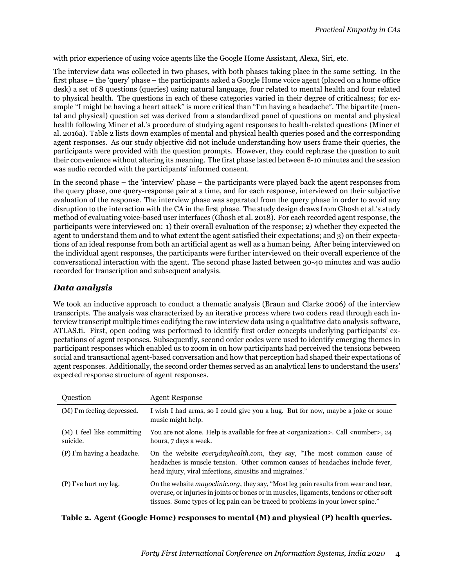with prior experience of using voice agents like the Google Home Assistant, Alexa, Siri, etc.

The interview data was collected in two phases, with both phases taking place in the same setting. In the first phase – the 'query' phase – the participants asked a Google Home voice agent (placed on a home office desk) a set of 8 questions (queries) using natural language, four related to mental health and four related to physical health. The questions in each of these categories varied in their degree of criticalness; for example "I might be having a heart attack" is more critical than "I'm having a headache". The bipartite (mental and physical) question set was derived from a standardized panel of questions on mental and physical health following Miner et al.'s procedure of studying agent responses to health-related questions (Miner et al. [2016a\)](#page-8-1). Table [2](#page-3-0) lists down examples of mental and physical health queries posed and the corresponding agent responses. As our study objective did not include understanding how users frame their queries, the participants were provided with the question prompts. However, they could rephrase the question to suit their convenience without altering its meaning. The first phase lasted between 8-10 minutes and the session was audio recorded with the participants' informed consent.

In the second phase – the 'interview' phase – the participants were played back the agent responses from the query phase, one query-response pair at a time, and for each response, interviewed on their subjective evaluation of the response. The interview phase was separated from the query phase in order to avoid any disruption to the interaction with the CA in the first phase. The study design draws from Ghosh et al.'s study method of evaluating voice-based user interfaces (Ghosh et al. [2018](#page-8-19)). For each recorded agent response, the participants were interviewed on: 1) their overall evaluation of the response; 2) whether they expected the agent to understand them and to what extent the agent satisfied their expectations; and 3) on their expectations of an ideal response from both an artificial agent as well as a human being. After being interviewed on the individual agent responses, the participants were further interviewed on their overall experience of the conversational interaction with the agent. The second phase lasted between 30-40 minutes and was audio recorded for transcription and subsequent analysis.

#### *Data analysis*

We took an inductive approach to conduct a thematic analysis (Braun and Clarke [2006\)](#page-8-20) of the interview transcripts. The analysis was characterized by an iterative process where two coders read through each interview transcript multiple times codifying the raw interview data using a qualitative data analysis software, ATLAS.ti. First, open coding was performed to identify first order concepts underlying participants' expectations of agent responses. Subsequently, second order codes were used to identify emerging themes in participant responses which enabled us to zoom in on how participants had perceived the tensions between social and transactional agent-based conversation and how that perception had shaped their expectations of agent responses. Additionally, the second order themes served as an analytical lens to understand the users' expected response structure of agent responses.

<span id="page-3-0"></span>

| Question                               | <b>Agent Response</b>                                                                                                                                                                                                                                             |
|----------------------------------------|-------------------------------------------------------------------------------------------------------------------------------------------------------------------------------------------------------------------------------------------------------------------|
| (M) I'm feeling depressed.             | I wish I had arms, so I could give you a hug. But for now, maybe a joke or some<br>music might help.                                                                                                                                                              |
| (M) I feel like committing<br>suicide. | You are not alone. Help is available for free at <organization>. Call <number>, 24<br/>hours, 7 days a week.</number></organization>                                                                                                                              |
| (P) I'm having a headache.             | On the website <i>everydayhealth.com</i> , they say, "The most common cause of<br>headaches is muscle tension. Other common causes of headaches include fever,<br>head injury, viral infections, sinusitis and migraines."                                        |
| (P) I've hurt my leg.                  | On the website mayoclinic.org, they say, "Most leg pain results from wear and tear,<br>overuse, or injuries in joints or bones or in muscles, ligaments, tendons or other soft<br>tissues. Some types of leg pain can be traced to problems in your lower spine." |

#### **Table 2. Agent (Google Home) responses to mental (M) and physical (P) health queries.**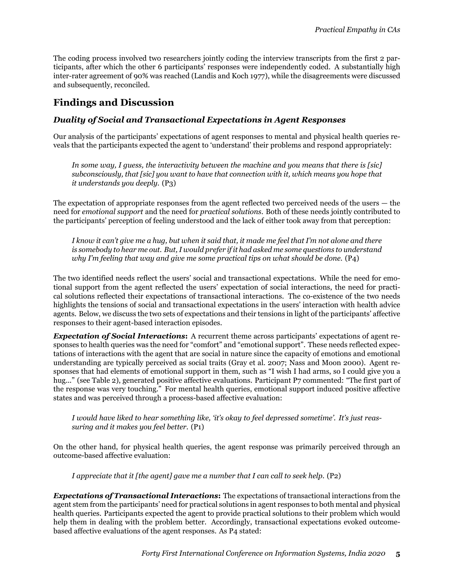The coding process involved two researchers jointly coding the interview transcripts from the first 2 participants, after which the other 6 participants' responses were independently coded. A substantially high inter-rater agreement of 90% was reached (Landis and Koch [1977](#page-8-21)), while the disagreements were discussed and subsequently, reconciled.

# **Findings and Discussion**

#### *Duality of Social and Transactional Expectations in Agent Responses*

Our analysis of the participants' expectations of agent responses to mental and physical health queries reveals that the participants expected the agent to 'understand' their problems and respond appropriately:

*In some way, I guess, the interactivity between the machine and you means that there is [sic] subconsciously, that [sic] you want to have that connection with it, which means you hope that it understands you deeply.* (P3)

The expectation of appropriate responses from the agent reflected two perceived needs of the users — the need for *emotional support* and the need for *practical solutions*. Both of these needs jointly contributed to the participants' perception of feeling understood and the lack of either took away from that perception:

*I know it can't give me a hug, but when it said that, it made me feel that I'm not alone and there is somebody to hear me out. But, I would prefer if it had asked me some questions to understand why I'm feeling that way and give me some practical tips on what should be done.* (P4)

The two identified needs reflect the users' social and transactional expectations. While the need for emotional support from the agent reflected the users' expectation of social interactions, the need for practical solutions reflected their expectations of transactional interactions. The co-existence of the two needs highlights the tensions of social and transactional expectations in the users' interaction with health advice agents. Below, we discuss the two sets of expectations and their tensions in light of the participants' affective responses to their agent-based interaction episodes.

*Expectation of Social Interactions***:** A recurrent theme across participants' expectations of agent responses to health queries was the need for "comfort" and "emotional support". These needs reflected expectations of interactions with the agent that are social in nature since the capacity of emotions and emotional understanding are typically perceived as social traits (Gray et al. [2007;](#page-8-10) Nass and Moon [2000](#page-8-9)). Agent responses that had elements of emotional support in them, such as "I wish I had arms, so I could give you a hug..." (see Table [2](#page-3-0)), generated positive affective evaluations. Participant P7 commented: "The first part of the response was very touching." For mental health queries, emotional support induced positive affective states and was perceived through a process-based affective evaluation:

*I would have liked to hear something like, 'it's okay to feel depressed sometime'. It's just reassuring and it makes you feel better.* (P1)

On the other hand, for physical health queries, the agent response was primarily perceived through an outcome-based affective evaluation:

*I appreciate that it [the agent] gave me a number that I can call to seek help.* (P2)

*Expectations of Transactional Interactions***:** The expectations of transactional interactions from the agent stem from the participants' need for practical solutions in agent responses to both mental and physical health queries. Participants expected the agent to provide practical solutions to their problem which would help them in dealing with the problem better. Accordingly, transactional expectations evoked outcomebased affective evaluations of the agent responses. As P4 stated: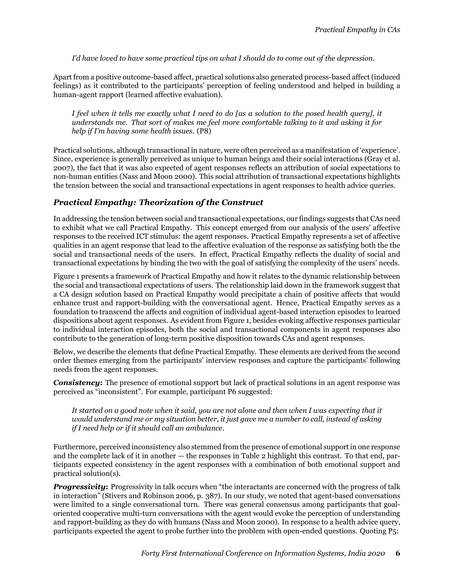*I'd have loved to have some practical tips on what I should do to come out of the depression.*

Apart from a positive outcome-based affect, practical solutions also generated process-based affect (induced feelings) as it contributed to the participants' perception of feeling understood and helped in building a human-agent rapport (learned affective evaluation).

*I feel when it tells me exactly what I need to do [as a solution to the posed health query], it understands me. That sort of makes me feel more comfortable talking to it and asking it for help if I'm having some health issues.* (P8)

Practical solutions, although transactional in nature, were often perceived as a manifestation of 'experience'. Since, experience is generally perceived as unique to human beings and their social interactions (Gray et al. [2007\)](#page-8-10), the fact that it was also expected of agent responses reflects an attribution of social expectations to non-human entities (Nass and Moon [2000](#page-8-9)). This social attribution of transactional expectations highlights the tension between the social and transactional expectations in agent responses to health advice queries.

#### *Practical Empathy: Theorization of the Construct*

In addressing the tension between social and transactional expectations, our findings suggests that CAs need to exhibit what we call Practical Empathy. This concept emerged from our analysis of the users' affective responses to the received ICT stimulus: the agent responses. Practical Empathy represents a set of affective qualities in an agent response that lead to the affective evaluation of the response as satisfying both the the social and transactional needs of the users. In effect, Practical Empathy reflects the duality of social and transactional expectations by binding the two with the goal of satisfying the complexity of the users' needs.

Figure [1](#page-6-0) presents a framework of Practical Empathy and how it relates to the dynamic relationship between the social and transactional expectations of users. The relationship laid down in the framework suggest that a CA design solution based on Practical Empathy would precipitate a chain of positive affects that would enhance trust and rapport-building with the conversational agent. Hence, Practical Empathy serves as a foundation to transcend the affects and cognition of individual agent-based interaction episodes to learned dispositions about agent responses. As evident from Figure [1](#page-6-0), besides evoking affective responses particular to individual interaction episodes, both the social and transactional components in agent responses also contribute to the generation of long-term positive disposition towards CAs and agent responses.

Below, we describe the elements that define Practical Empathy. These elements are derived from the second order themes emerging from the participants' interview responses and capture the participants' following needs from the agent responses.

*Consistency*: The presence of emotional support but lack of practical solutions in an agent response was perceived as "inconsistent". For example, participant P6 suggested:

*It started on a good note when it said, you are not alone and then when I was expecting that it would understand me or my situation better, it just gave me a number to call, instead of asking if I need help or if it should call an ambulance.*

Furthermore, perceived inconsistency also stemmed from the presence of emotional support in one response and the complete lack of it in another — the responses in Table [2](#page-3-0) highlight this contrast. To that end, participants expected consistency in the agent responses with a combination of both emotional support and practical solution(s).

*Progressivity:* Progressivity in talk occurs when "the interactants are concerned with the progress of talk in interaction" (Stivers and Robinson [2006,](#page-8-22) p. 387). In our study, we noted that agent-based conversations were limited to a single conversational turn. There was general consensus among participants that goaloriented cooperative multi-turn conversations with the agent would evoke the perception of understanding and rapport-building as they do with humans (Nass and Moon [2000\)](#page-8-9). In response to a health advice query, participants expected the agent to probe further into the problem with open-ended questions. Quoting P5: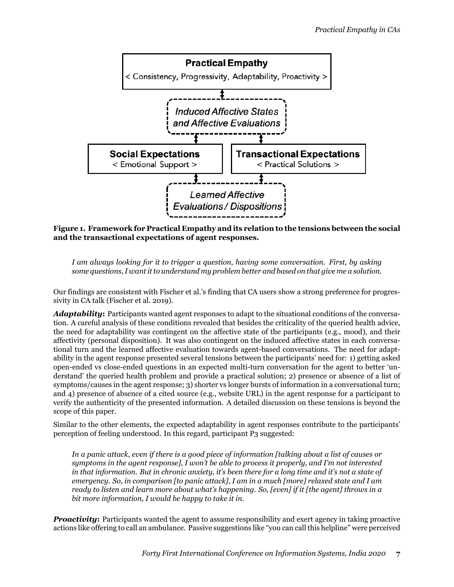<span id="page-6-0"></span>

**Figure 1. Framework for Practical Empathy and its relation to the tensions between the social and the transactional expectations of agent responses.**

*I am always looking for it to trigger a question, having some conversation. First, by asking some questions, I want it to understand my problem better and based on that give me a solution.*

Our findings are consistent with Fischer et al.'s finding that CA users show a strong preference for progressivity in CA talk (Fischer et al. [2019](#page-8-5)).

*Adaptability***:** Participants wanted agent responses to adapt to the situational conditions of the conversation. A careful analysis of these conditions revealed that besides the criticality of the queried health advice, the need for adaptability was contingent on the affective state of the participants (e.g., mood), and their affectivity (personal disposition). It was also contingent on the induced affective states in each conversational turn and the learned affective evaluation towards agent-based conversations. The need for adaptability in the agent response presented several tensions between the participants' need for: 1) getting asked open-ended vs close-ended questions in an expected multi-turn conversation for the agent to better 'understand' the queried health problem and provide a practical solution; 2) presence or absence of a list of symptoms/causes in the agent response; 3) shorter vs longer bursts of information in a conversational turn; and 4) presence of absence of a cited source (e.g., website URL) in the agent response for a participant to verify the authenticity of the presented information. A detailed discussion on these tensions is beyond the scope of this paper.

Similar to the other elements, the expected adaptability in agent responses contribute to the participants' perception of feeling understood. In this regard, participant P3 suggested:

*In a panic attack, even if there is a good piece of information [talking about a list of causes or symptoms in the agent response], I won't be able to process it properly, and I'm not interested in that information. But in chronic anxiety, it's been there for a long time and it's not a state of emergency. So, in comparison [to panic attack], I am in a much [more] relaxed state and I am ready to listen and learn more about what's happening. So, [even] if it [the agent] throws in a bit more information, I would be happy to take it in.*

*Proactivity:* Participants wanted the agent to assume responsibility and exert agency in taking proactive actions like offering to call an ambulance. Passive suggestions like "you can call this helpline" were perceived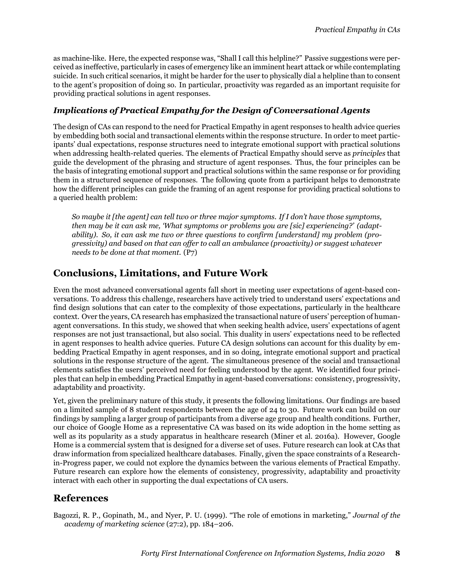as machine-like. Here, the expected response was, "Shall I call this helpline?" Passive suggestions were perceived as ineffective, particularly in cases of emergency like an imminent heart attack or while contemplating suicide. In such critical scenarios, it might be harder for the user to physically dial a helpline than to consent to the agent's proposition of doing so. In particular, proactivity was regarded as an important requisite for providing practical solutions in agent responses.

#### *Implications of Practical Empathy for the Design of Conversational Agents*

The design of CAs can respond to the need for Practical Empathy in agent responses to health advice queries by embedding both social and transactional elements within the response structure. In order to meet participants' dual expectations, response structures need to integrate emotional support with practical solutions when addressing health-related queries. The elements of Practical Empathy should serve as *principles* that guide the development of the phrasing and structure of agent responses. Thus, the four principles can be the basis of integrating emotional support and practical solutions within the same response or for providing them in a structured sequence of responses. The following quote from a participant helps to demonstrate how the different principles can guide the framing of an agent response for providing practical solutions to a queried health problem:

*So maybe it [the agent] can tell two or three major symptoms. If I don't have those symptoms, then may be it can ask me, 'What symptoms or problems you are [sic] experiencing?' (adaptability). So, it can ask me two or three questions to confirm [understand] my problem (progressivity) and based on that can offer to call an ambulance (proactivity) or suggest whatever needs to be done at that moment.* (P7)

## **Conclusions, Limitations, and Future Work**

Even the most advanced conversational agents fall short in meeting user expectations of agent-based conversations. To address this challenge, researchers have actively tried to understand users' expectations and find design solutions that can cater to the complexity of those expectations, particularly in the healthcare context. Over the years, CA research has emphasized the transactional nature of users' perception of humanagent conversations. In this study, we showed that when seeking health advice, users' expectations of agent responses are not just transactional, but also social. This duality in users' expectations need to be reflected in agent responses to health advice queries. Future CA design solutions can account for this duality by embedding Practical Empathy in agent responses, and in so doing, integrate emotional support and practical solutions in the response structure of the agent. The simultaneous presence of the social and transactional elements satisfies the users' perceived need for feeling understood by the agent. We identified four principles that can help in embedding Practical Empathy in agent-based conversations: consistency, progressivity, adaptability and proactivity.

Yet, given the preliminary nature of this study, it presents the following limitations. Our findings are based on a limited sample of 8 student respondents between the age of 24 to 30. Future work can build on our findings by sampling a larger group of participants from a diverse age group and health conditions. Further, our choice of Google Home as a representative CA was based on its wide adoption in the home setting as well as its popularity as a study apparatus in healthcare research (Miner et al. [2016a\)](#page-8-1). However, Google Home is a commercial system that is designed for a diverse set of uses. Future research can look at CAs that draw information from specialized healthcare databases. Finally, given the space constraints of a Researchin-Progress paper, we could not explore the dynamics between the various elements of Practical Empathy. Future research can explore how the elements of consistency, progressivity, adaptability and proactivity interact with each other in supporting the dual expectations of CA users.

## **References**

<span id="page-7-0"></span>Bagozzi, R. P., Gopinath, M., and Nyer, P. U. (1999). "The role of emotions in marketing," *Journal of the academy of marketing science* (27:2), pp. 184–206.